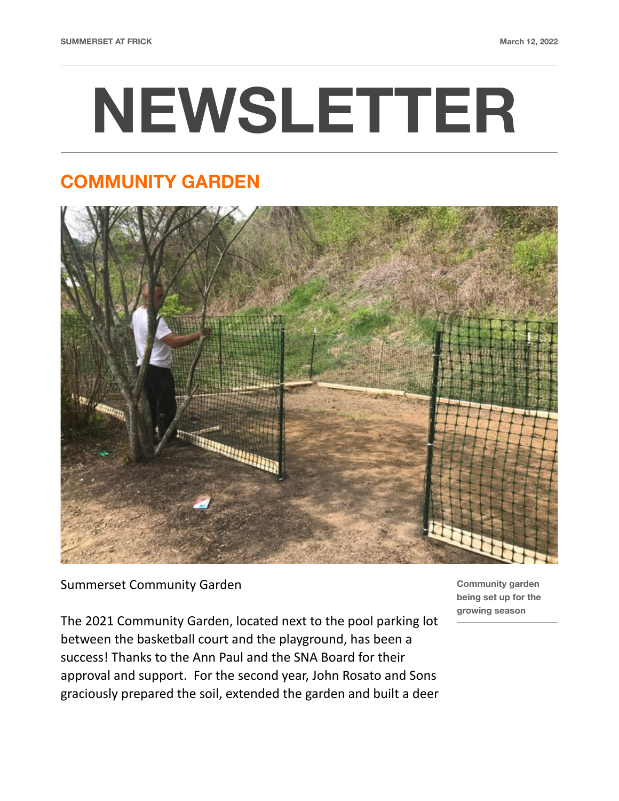# **NEWSLETTER**

## **COMMUNITY GARDEN**



Summerset Community Garden

The 2021 Community Garden, located next to the pool parking lot between the basketball court and the playground, has been a success! Thanks to the Ann Paul and the SNA Board for their approval and support. For the second year, John Rosato and Sons graciously prepared the soil, extended the garden and built a deer **Community garden being set up for the growing season**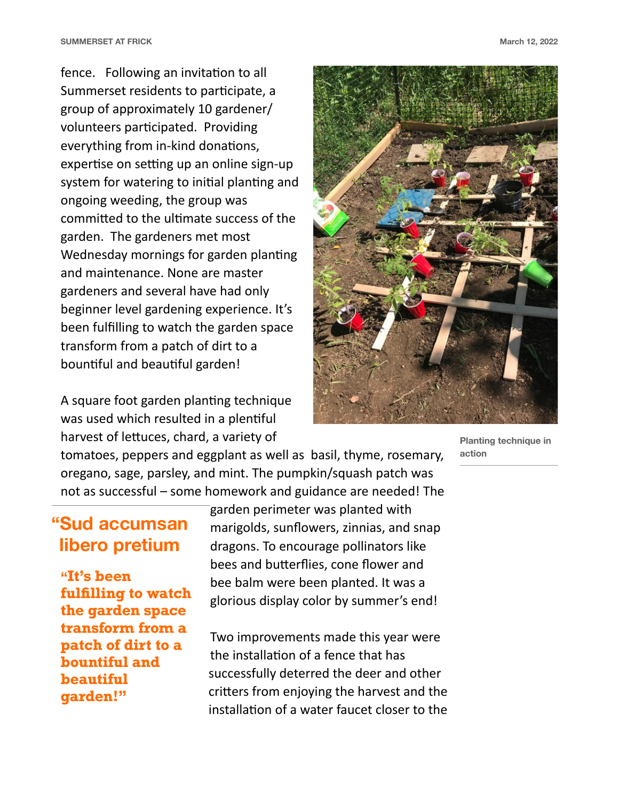fence. Following an invitation to all Summerset residents to participate, a group of approximately 10 gardener/ volunteers participated. Providing everything from in-kind donations, expertise on setting up an online sign-up system for watering to initial planting and ongoing weeding, the group was committed to the ultimate success of the garden. The gardeners met most Wednesday mornings for garden planting and maintenance. None are master gardeners and several have had only beginner level gardening experience. It's been fulfilling to watch the garden space transform from a patch of dirt to a bountiful and beautiful garden!

A square foot garden planting technique was used which resulted in a plentiful harvest of lettuces, chard, a variety of



**Planting technique in action** 

tomatoes, peppers and eggplant as well as basil, thyme, rosemary, oregano, sage, parsley, and mint. The pumpkin/squash patch was not as successful – some homework and guidance are needed! The

#### **"Sud accumsan libero pretium**

**"It's been fulfilling to watch the garden space transform from a patch of dirt to a bountiful and beautiful garden!"** 

garden perimeter was planted with marigolds, sunflowers, zinnias, and snap dragons. To encourage pollinators like bees and butterflies, cone flower and bee balm were been planted. It was a glorious display color by summer's end!

Two improvements made this year were the installation of a fence that has successfully deterred the deer and other critters from enjoying the harvest and the installation of a water faucet closer to the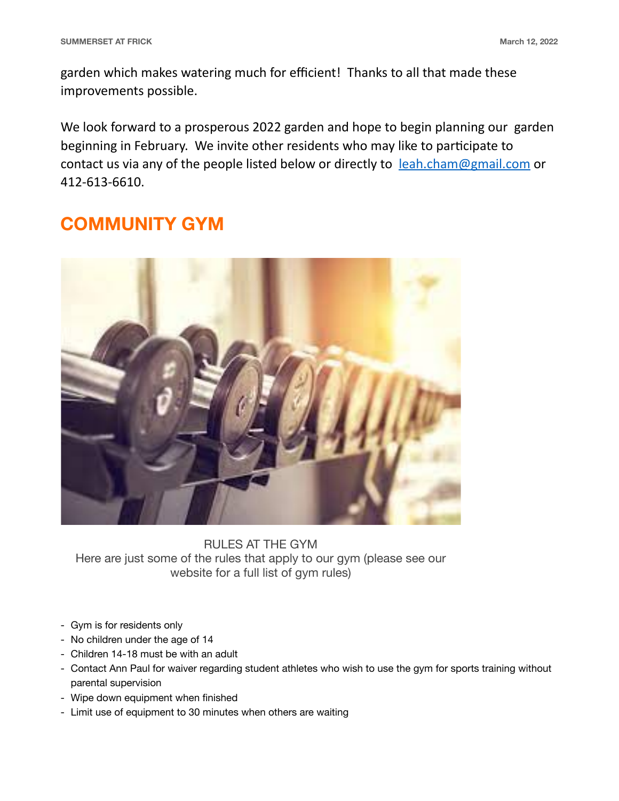garden which makes watering much for efficient! Thanks to all that made these improvements possible.

We look forward to a prosperous 2022 garden and hope to begin planning our garden beginning in February. We invite other residents who may like to participate to contact us via any of the people listed below or directly to [leah.cham@gmail.com](mailto:leah.cham@gmail.com) or 412-613-6610.

### **COMMUNITY GYM**



RULES AT THE GYM Here are just some of the rules that apply to our gym (please see our website for a full list of gym rules)

- Gym is for residents only
- No children under the age of 14
- Children 14-18 must be with an adult
- Contact Ann Paul for waiver regarding student athletes who wish to use the gym for sports training without parental supervision
- Wipe down equipment when finished
- Limit use of equipment to 30 minutes when others are waiting